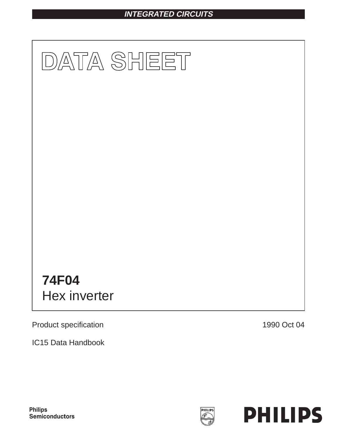# **INTEGRATED CIRCUITS**



Product specification

IC15 Data Handbook

1990 Oct 04



**Philips** Semiconductors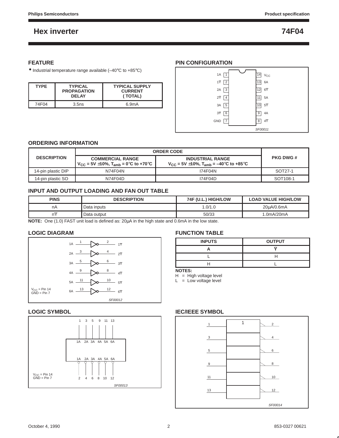## **FEATURE**

• Industrial temperature range available (–40°C to +85°C)

| <b>TYPE</b> | <b>TYPICAL</b><br><b>PROPAGATION</b><br><b>DELAY</b> | <b>TYPICAL SUPPLY</b><br><b>CURRENT</b><br>(TOTAL) |
|-------------|------------------------------------------------------|----------------------------------------------------|
| 74F04       | 3.5ns                                                | 6.9 <sub>m</sub> A                                 |

## **PIN CONFIGURATION**



## **ORDERING INFORMATION**

|                                                                                                                  | <b>ORDER CODE</b> |                                                                                              |                      |
|------------------------------------------------------------------------------------------------------------------|-------------------|----------------------------------------------------------------------------------------------|----------------------|
| <b>DESCRIPTION</b><br><b>COMMERCIAL RANGE</b><br>$V_{\text{CC}}$ = 5V $\pm$ 10%, T <sub>amb</sub> = 0°C to +70°C |                   | <b>INDUSTRIAL RANGE</b><br>$V_{\text{CC}}$ = 5V $\pm$ 10%, T <sub>amb</sub> = –40°C to +85°C | <b>PKG DWG#</b>      |
| 14-pin plastic DIP                                                                                               | N74F04N           | 174F04N                                                                                      | SOT <sub>27-1</sub>  |
| 14-pin plastic SO                                                                                                | N74F04D           | 174F04D                                                                                      | SOT <sub>108-1</sub> |

## **INPUT AND OUTPUT LOADING AND FAN OUT TABLE**

| <b>PINS</b> | <b>DESCRIPTION</b> | 74F (U.L.) HIGH/LOW | <b>LOAD VALUE HIGH/LOW</b> |
|-------------|--------------------|---------------------|----------------------------|
| nA          | Data inputs        | 0.0/1.0             | 20uA/0.6mA                 |
|             | Data output        | 50/33               | .0 $mA/20mA$               |

**NOTE:** One (1.0) FAST unit load is defined as: 20µA in the high state and 0.6mA in the low state.

## **LOGIC DIAGRAM**



## **LOGIC SYMBOL**



## **FUNCTION TABLE**

| <b>INPUTS</b> | <b>OUTPUT</b> |
|---------------|---------------|
|               |               |
|               |               |
|               |               |
| ___<br>--     |               |

**NOTES:**

 $H = H$ igh voltage level  $L = Low voltage level$ 

# 13 1 SF00014 12 11  $\sim$  10 9 | N 8 5 6 3 4 1 | | | |

## **IEC/IEEE SYMBOL**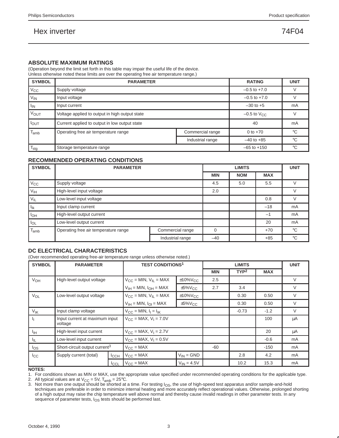## **ABSOLUTE MAXIMUM RATINGS**

(Operation beyond the limit set forth in this table may impair the useful life of the device.

Unless otherwise noted these limits are over the operating free air temperature range.)

| <b>SYMBOL</b>    | <b>PARAMETER</b>                               |                           |                 |              |  |  |  |
|------------------|------------------------------------------------|---------------------------|-----------------|--------------|--|--|--|
| $V_{\rm CC}$     | Supply voltage                                 |                           |                 |              |  |  |  |
| $V_{IN}$         | Input voltage                                  | $-0.5$ to $+7.0$          |                 |              |  |  |  |
| $I_{IN}$         | Input current                                  | $-30$ to $+5$             | mA              |              |  |  |  |
| <b>VOUT</b>      | Voltage applied to output in high output state | $-0.5$ to $V_{\text{CC}}$ |                 |              |  |  |  |
| $I_{\text{OUT}}$ | Current applied to output in low output state  |                           | 40              | mA           |  |  |  |
| lamb             | Operating free air temperature range           | Commercial range          | 0 to $+70$      | $^{\circ}$ C |  |  |  |
|                  |                                                | Industrial range          | $-40$ to $+85$  | °C           |  |  |  |
| $I_{\text{stg}}$ | Storage temperature range                      |                           | $-65$ to $+150$ | ം            |  |  |  |

## **RECOMMENDED OPERATING CONDITIONS**

| <b>SYMBOL</b> | <b>PARAMETER</b>                     |                  | <b>UNIT</b> |            |       |             |
|---------------|--------------------------------------|------------------|-------------|------------|-------|-------------|
|               |                                      | <b>MIN</b>       | <b>NOM</b>  | <b>MAX</b> |       |             |
| $V_{\rm CC}$  | Supply voltage                       |                  | 4.5         | 5.0        | 5.5   |             |
| Vıн           | High-level input voltage             | 2.0              |             |            |       |             |
| $V_{IL}$      | Low-level input voltage              |                  |             | 0.8        |       |             |
| Ιĸ            | Input clamp current                  |                  |             | $-18$      | mA    |             |
| $I_{OH}$      | High-level output current            |                  |             |            | $-1$  | mA          |
| $I_{OL}$      | Low-level output current             |                  |             | 20         | mA    |             |
| $T_{amb}$     | Operating free air temperature range | Commercial range | $\Omega$    |            | $+70$ | $^{\circ}C$ |
|               |                                      | Industrial range | $-40$       |            | $+85$ | $^{\circ}C$ |

## **DC ELECTRICAL CHARACTERISTICS**

(Over recommended operating free-air temperature range unless otherwise noted.)

| <b>SYMBOL</b>         | <b>PARAMETER</b>                          |             | <b>TEST CONDITIONS1</b>                         |                           |                  | <b>LIMITS</b> |        | <b>UNIT</b> |  |
|-----------------------|-------------------------------------------|-------------|-------------------------------------------------|---------------------------|------------------|---------------|--------|-------------|--|
|                       |                                           |             |                                                 | <b>MIN</b>                | TYP <sup>2</sup> | <b>MAX</b>    |        |             |  |
| V <sub>OH</sub>       | High-level output voltage                 |             | $V_{CC}$ = MIN, $V_{IL}$ = MAX                  | $±10\%V_{CC}$             | 2.5              |               |        |             |  |
|                       |                                           |             | $V_{IH}$ = MIN, $I_{OH}$ = MAX                  | $\pm 5\%$ V <sub>CC</sub> | 2.7              | 3.4           |        |             |  |
| <b>V<sub>OL</sub></b> | Low-level output voltage                  |             | $V_{CC}$ = MIN, $V_{IL}$ = MAX<br>$±10\%V_{CC}$ |                           |                  | 0.30          | 0.50   |             |  |
|                       |                                           |             | $V_{IH}$ = MIN, $I_{OI}$ = MAX                  | $\pm 5\%V_{CC}$           |                  | 0.30          | 0.50   | $\vee$      |  |
| $V_{IK}$              | Input clamp voltage                       |             | $V_{CC} = MIN, I_1 = I_{IK}$                    |                           | $-0.73$          | $-1.2$        | $\vee$ |             |  |
| Ч.                    | Input current at maximum input<br>voltage |             | $V_{CC} = MAX, V_1 = 7.0V$                      |                           |                  |               | 100    | μA          |  |
| ŀщ                    | High-level input current                  |             | $V_{CC}$ = MAX, $V_1$ = 2.7V                    |                           |                  |               | 20     | μA          |  |
| ŀπ                    | Low-level input current                   |             | $V_{CC}$ = MAX, $V_1$ = 0.5V                    |                           |                  |               | $-0.6$ | mA          |  |
| los                   | Short-circuit output current <sup>3</sup> |             | $V_{\text{CC}} = \text{MAX}$                    |                           | $-60$            |               | $-150$ | mA          |  |
| $_{\rm lcc}$          | Supply current (total)                    | ICCH        | $V_{\text{CC}} = \text{MAX}$                    | $V_{IN} = GND$            |                  | 2.8           | 4.2    | mA          |  |
|                       |                                           | <b>ICCL</b> | $V_{CC} = MAX$                                  | $V_{IN} = 4.5V$           |                  | 10.2          | 15.3   | mA          |  |

**NOTES:**

1. For conditions shown as MIN or MAX, use the appropriate value specified under recommended operating conditions for the applicable type.

2. All typical values are at  $V_{CC} = 5V$ ,  $T_{amb} = 25^{\circ}$ C.

3. Not more than one output should be shorted at a time. For testing  $I<sub>OS</sub>$ , the use of high-speed test apparatus and/or sample-and-hold<br>techniques are preferable in order to minimize internal heating and more accurat of a high output may raise the chip temperature well above normal and thereby cause invalid readings in other parameter tests. In any sequence of parameter tests,  $I_{OS}$  tests should be performed last.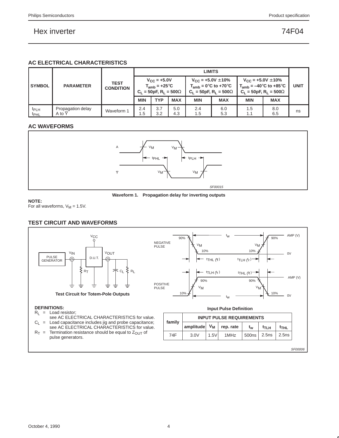## **AC ELECTRICAL CHARACTERISTICS**

|                                      |                                                     |            |                                                                                 | <b>LIMITS</b> |            |                                  |                                                            |                                                                                                                  |             |    |
|--------------------------------------|-----------------------------------------------------|------------|---------------------------------------------------------------------------------|---------------|------------|----------------------------------|------------------------------------------------------------|------------------------------------------------------------------------------------------------------------------|-------------|----|
| <b>SYMBOL</b>                        | <b>TEST</b><br><b>PARAMETER</b><br><b>CONDITION</b> |            | $V_{C}$ = +5.0V<br>$T_{amb}$ = +25 $\degree$ C<br>$C_1 = 50pF, R_1 = 500\Omega$ |               |            | $V_{\text{CC}} = +5.0V \pm 10\%$ | $T_{amb} = 0$ °C to +70°C<br>$C_1 = 50pF, R_1 = 500\Omega$ | $V_{\rm CC}$ = +5.0V $\pm$ 10%<br>$T_{amb} = -40^{\circ}$ C to +85 $^{\circ}$ C<br>$C_1 = 50pF, R_1 = 500\Omega$ | <b>UNIT</b> |    |
|                                      |                                                     |            | <b>MIN</b>                                                                      | <b>TYP</b>    | <b>MAX</b> | <b>MIN</b>                       | <b>MAX</b>                                                 | <b>MIN</b>                                                                                                       | <b>MAX</b>  |    |
| t <sub>PLH</sub><br>t <sub>PHL</sub> | Propagation delay<br>A to Y                         | Waveform 1 | 2.4<br>1.5                                                                      | 3.7<br>3.2    | 5.0<br>4.3 | 2.4<br>1.5                       | 6.0<br>5.3                                                 | 1.5<br>1.1                                                                                                       | 8.0<br>6.5  | ns |

## **AC WAVEFORMS**



**Waveform 1. Propagation delay for inverting outputs**

**NOTE:**

For all waveforms,  $V_M = 1.5V$ .

## **TEST CIRCUIT AND WAVEFORMS**



#### **DEFINITIONS:**

- $R_L$  = Load resistor;
- see AC ELECTRICAL CHARACTERISTICS for value.  $C_L$  = Load capacitance includes jig and probe capacitance;
- see AC ELECTRICAL CHARACTERISTICS for value.  $R_T$  = Termination resistance should be equal to  $Z_{OUT}$  of pulse generators.



| family | <b>INPUT PULSE REQUIREMENTS</b> |  |           |               |      |                  |  |  |  |
|--------|---------------------------------|--|-----------|---------------|------|------------------|--|--|--|
|        | amplitude V <sub>M</sub>        |  | rep. rate | tw            | t⊤∟н | t <sub>THL</sub> |  |  |  |
| 74F    | 3.0V<br>1.5V                    |  | 1MHz      | $500ns$ 2.5ns |      | 2.5ns            |  |  |  |

SF00006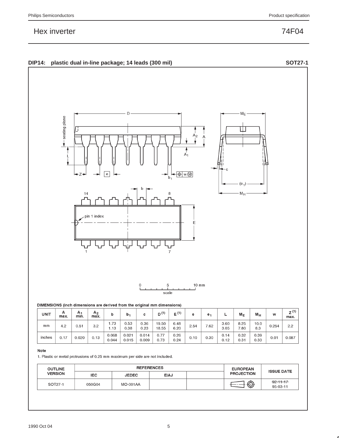|  | DIP14: plastic dual in-line package; 14 leads (300 mil) |  | <b>SOT27-1</b> |
|--|---------------------------------------------------------|--|----------------|
|--|---------------------------------------------------------|--|----------------|



| <b>UNIT</b> | А<br>max. | A٠<br>min. | A <sub>2</sub><br>max. |                | b٠             | с              | D <sup>(1)</sup> | $E^{(1)}$    | е    | е.   | -            | $M_{E}$      | $M_H$        | w     | $Z^{(1)}$<br>max. |
|-------------|-----------|------------|------------------------|----------------|----------------|----------------|------------------|--------------|------|------|--------------|--------------|--------------|-------|-------------------|
| mm          | 4.2       | 0.51       | 3.2                    | 1.73<br>1.13   | 0.53<br>0.38   | 0.36<br>0.23   | 19.50<br>18.55   | 6.48<br>6.20 | 2.54 | 7.62 | 3.60<br>3.05 | 8.25<br>7.80 | 10.0<br>8.3  | 0.254 | 2.2               |
| inches      | 0.17      | 0.020      | 0.13                   | 0.068<br>0.044 | 0.021<br>0.015 | 0.014<br>0.009 | 0.77<br>0.73     | 0.26<br>0.24 | 0.10 | 0.30 | 0.14<br>0.12 | 0.32<br>0.31 | 0.39<br>0.33 | 0.01  | 0.087             |

#### Note

1. Plastic or metal protrusions of 0.25 mm maximum per side are not included.

| <b>OUTLINE</b> |        | <b>REFERENCES</b> | <b>EUROPEAN</b> | <b>ISSUE DATE</b> |   |                             |  |
|----------------|--------|-------------------|-----------------|-------------------|---|-----------------------------|--|
| <b>VERSION</b> | IEC.   | <b>JEDEC</b>      | <b>EIAJ</b>     | <b>PROJECTION</b> |   |                             |  |
| SOT27-1        | 050G04 | <b>MO-001AA</b>   |                 |                   | ⊕ | $-92 - 11 - 17$<br>95-03-11 |  |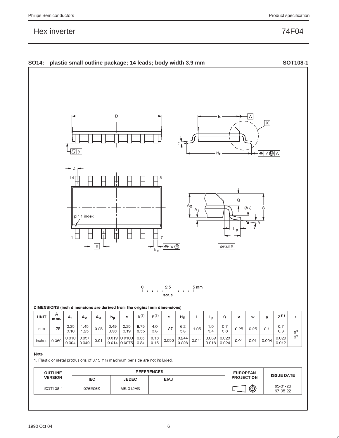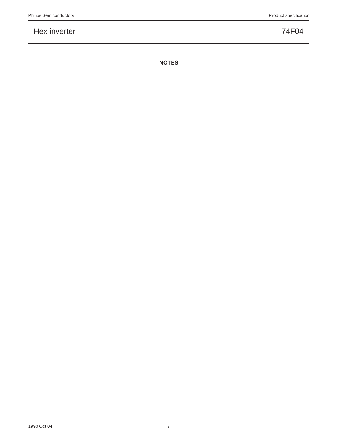**NOTES**